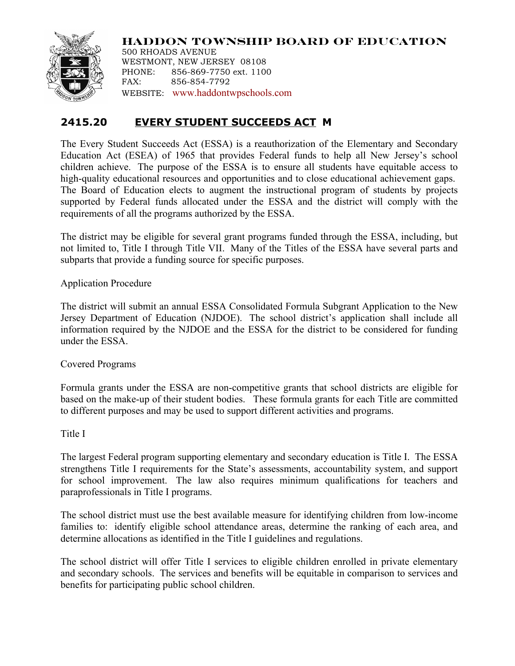

**HADDON TOWNSHIP BOARD OF EDUCATION** 500 RHOADS AVENUE WESTMONT, NEW JERSEY 08108

PHONE: 856-869-7750 ext. 1100 FAX: 856-854-7792 WEBSITE: www.haddontwpschools.com

# **2415.20 EVERY STUDENT SUCCEEDS ACT M**

The Every Student Succeeds Act (ESSA) is a reauthorization of the Elementary and Secondary Education Act (ESEA) of 1965 that provides Federal funds to help all New Jersey's school children achieve. The purpose of the ESSA is to ensure all students have equitable access to high-quality educational resources and opportunities and to close educational achievement gaps. The Board of Education elects to augment the instructional program of students by projects supported by Federal funds allocated under the ESSA and the district will comply with the requirements of all the programs authorized by the ESSA.

The district may be eligible for several grant programs funded through the ESSA, including, but not limited to, Title I through Title VII. Many of the Titles of the ESSA have several parts and subparts that provide a funding source for specific purposes.

Application Procedure

The district will submit an annual ESSA Consolidated Formula Subgrant Application to the New Jersey Department of Education (NJDOE). The school district's application shall include all information required by the NJDOE and the ESSA for the district to be considered for funding under the ESSA.

Covered Programs

Formula grants under the ESSA are non-competitive grants that school districts are eligible for based on the make-up of their student bodies. These formula grants for each Title are committed to different purposes and may be used to support different activities and programs.

Title I

The largest Federal program supporting elementary and secondary education is Title I. The ESSA strengthens Title I requirements for the State's assessments, accountability system, and support for school improvement. The law also requires minimum qualifications for teachers and paraprofessionals in Title I programs.

The school district must use the best available measure for identifying children from low-income families to: identify eligible school attendance areas, determine the ranking of each area, and determine allocations as identified in the Title I guidelines and regulations.

The school district will offer Title I services to eligible children enrolled in private elementary and secondary schools. The services and benefits will be equitable in comparison to services and benefits for participating public school children.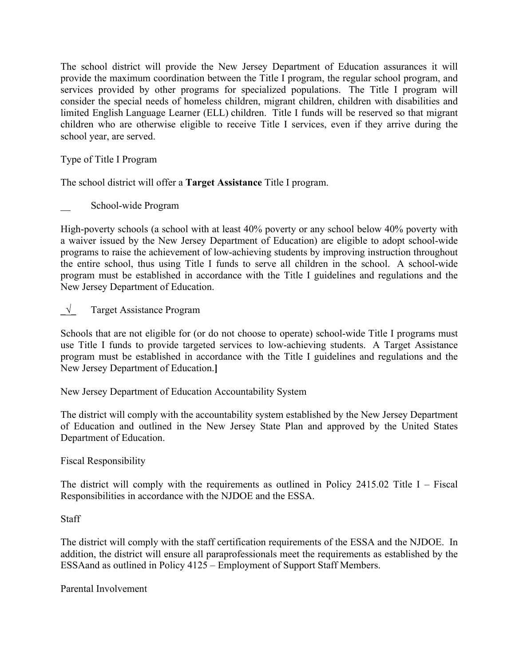The school district will provide the New Jersey Department of Education assurances it will provide the maximum coordination between the Title I program, the regular school program, and services provided by other programs for specialized populations. The Title I program will consider the special needs of homeless children, migrant children, children with disabilities and limited English Language Learner (ELL) children. Title I funds will be reserved so that migrant children who are otherwise eligible to receive Title I services, even if they arrive during the school year, are served.

Type of Title I Program

The school district will offer a **Target Assistance** Title I program.

School-wide Program

High-poverty schools (a school with at least 40% poverty or any school below 40% poverty with a waiver issued by the New Jersey Department of Education) are eligible to adopt school-wide programs to raise the achievement of low-achieving students by improving instruction throughout the entire school, thus using Title I funds to serve all children in the school. A school-wide program must be established in accordance with the Title I guidelines and regulations and the New Jersey Department of Education.

**\_√\_** Target Assistance Program

Schools that are not eligible for (or do not choose to operate) school-wide Title I programs must use Title I funds to provide targeted services to low-achieving students. A Target Assistance program must be established in accordance with the Title I guidelines and regulations and the New Jersey Department of Education.**]**

New Jersey Department of Education Accountability System

The district will comply with the accountability system established by the New Jersey Department of Education and outlined in the New Jersey State Plan and approved by the United States Department of Education.

Fiscal Responsibility

The district will comply with the requirements as outlined in Policy 2415.02 Title I – Fiscal Responsibilities in accordance with the NJDOE and the ESSA.

**Staff** 

The district will comply with the staff certification requirements of the ESSA and the NJDOE. In addition, the district will ensure all paraprofessionals meet the requirements as established by the ESSAand as outlined in Policy 4125 – Employment of Support Staff Members.

Parental Involvement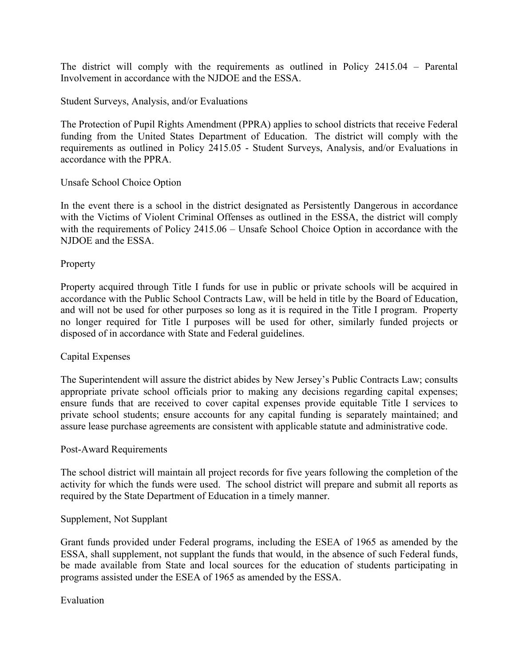The district will comply with the requirements as outlined in Policy 2415.04 – Parental Involvement in accordance with the NJDOE and the ESSA.

## Student Surveys, Analysis, and/or Evaluations

The Protection of Pupil Rights Amendment (PPRA) applies to school districts that receive Federal funding from the United States Department of Education. The district will comply with the requirements as outlined in Policy 2415.05 - Student Surveys, Analysis, and/or Evaluations in accordance with the PPRA.

## Unsafe School Choice Option

In the event there is a school in the district designated as Persistently Dangerous in accordance with the Victims of Violent Criminal Offenses as outlined in the ESSA, the district will comply with the requirements of Policy 2415.06 – Unsafe School Choice Option in accordance with the NJDOE and the ESSA.

## **Property**

Property acquired through Title I funds for use in public or private schools will be acquired in accordance with the Public School Contracts Law, will be held in title by the Board of Education, and will not be used for other purposes so long as it is required in the Title I program. Property no longer required for Title I purposes will be used for other, similarly funded projects or disposed of in accordance with State and Federal guidelines.

### Capital Expenses

The Superintendent will assure the district abides by New Jersey's Public Contracts Law; consults appropriate private school officials prior to making any decisions regarding capital expenses; ensure funds that are received to cover capital expenses provide equitable Title I services to private school students; ensure accounts for any capital funding is separately maintained; and assure lease purchase agreements are consistent with applicable statute and administrative code.

### Post-Award Requirements

The school district will maintain all project records for five years following the completion of the activity for which the funds were used. The school district will prepare and submit all reports as required by the State Department of Education in a timely manner.

### Supplement, Not Supplant

Grant funds provided under Federal programs, including the ESEA of 1965 as amended by the ESSA, shall supplement, not supplant the funds that would, in the absence of such Federal funds, be made available from State and local sources for the education of students participating in programs assisted under the ESEA of 1965 as amended by the ESSA.

Evaluation